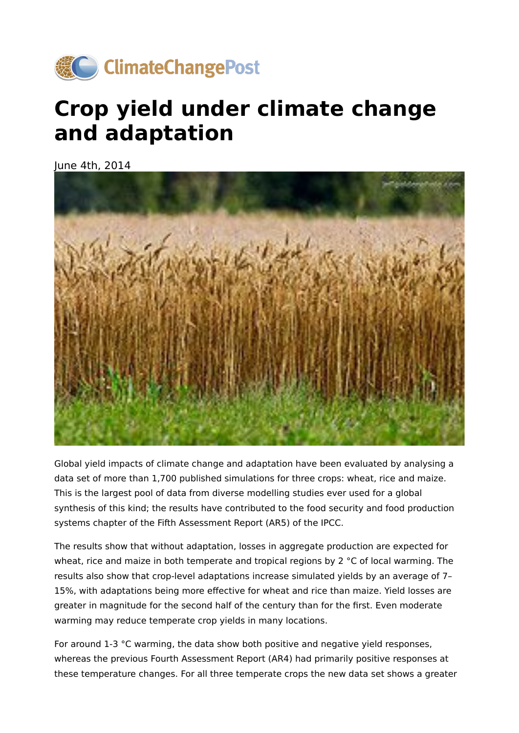

## **Crop yield under climate change and adaptation**

June 4th, 2014



Global yield impacts of climate change and adaptation have been evaluated by analysing a data set of more than 1,700 published simulations for three crops: wheat, rice and maize. This is the largest pool of data from diverse modelling studies ever used for a global synthesis of this kind; the results have contributed to the food security and food production systems chapter of the Fifth Assessment Report (AR5) of the IPCC.

The results show that without adaptation, losses in aggregate production are expected for wheat, rice and maize in both temperate and tropical regions by 2 °C of local warming. The results also show that crop-level adaptations increase simulated yields by an average of 7– 15%, with adaptations being more effective for wheat and rice than maize. Yield losses are greater in magnitude for the second half of the century than for the first. Even moderate warming may reduce temperate crop yields in many locations.

For around 1-3 °C warming, the data show both positive and negative yield responses, whereas the previous Fourth Assessment Report (AR4) had primarily positive responses at these temperature changes. For all three temperate crops the new data set shows a greater